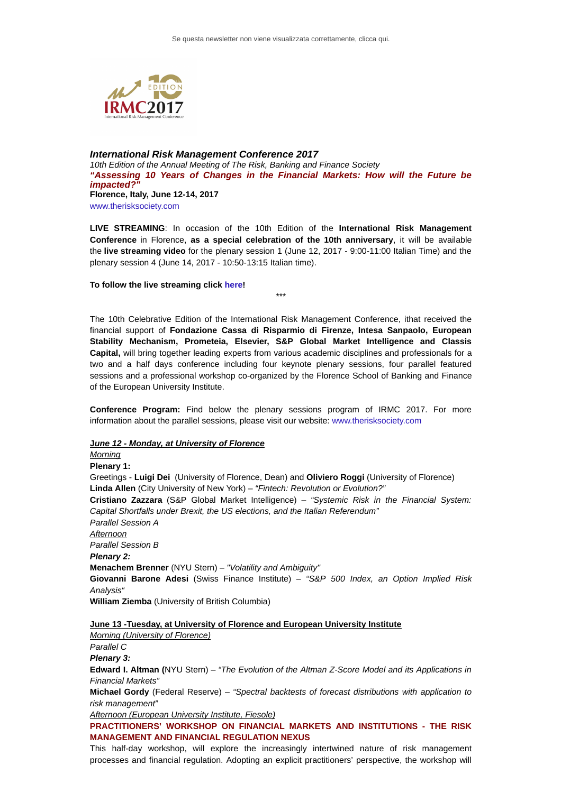

## *International Risk Management Conference 2017 10th Edition of the Annual Meeting of The Risk, Banking and Finance Society "Assessing 10 Years of Changes in the Financial Markets: How will the Future be impacted?"* **Florence, Italy, June 12-14, 2017** [www.therisksociety.com](https://t19c1a315.emailsys2a.net/c/120/1139908/1322/0/4801109/1234/72319/74058ed0a6.html)

**LIVE STREAMING**: In occasion of the 10th Edition of the **International Risk Management Conference** in Florence, **as a special celebration of the 10th anniversary**, it will be available the **live streaming video** for the plenary session 1 (June 12, 2017 - 9:00-11:00 Italian Time) and the plenary session 4 (June 14, 2017 - 10:50-13:15 Italian time).

#### **To follow the live streaming click [here](https://t19c1a315.emailsys2a.net/c/120/1139908/1322/0/4801109/1234/72327/7626676466.html)!**

\*\*\*

The 10th Celebrative Edition of the International Risk Management Conference, ithat received the financial support of **Fondazione Cassa di Risparmio di Firenze, Intesa Sanpaolo, European Stability Mechanism, Prometeia, Elsevier, S&P Global Market Intelligence and Classis Capital,** will bring together leading experts from various academic disciplines and professionals for a two and a half days conference including four keynote plenary sessions, four parallel featured sessions and a professional workshop co-organized by the Florence School of Banking and Finance of the European University Institute.

**Conference Program:** Find below the plenary sessions program of IRMC 2017. For more information about the parallel sessions, please visit our website: [www.therisksociety.com](https://t19c1a315.emailsys2a.net/c/120/1139908/1322/0/4801109/1234/72320/e25bd2d150.html)

#### **J***une 12 - Monday, at University of Florence*

*Morning* **Plenary 1:** Greetings - **Luigi Dei** (University of Florence, Dean) and **Oliviero Roggi** (University of Florence) **Linda Allen** (City University of New York) – *"Fintech: Revolution or Evolution?"* **Cristiano Zazzara** (S&P Global Market Intelligence) – *"Systemic Risk in the Financial System: Capital Shortfalls under Brexit, the US elections, and the Italian Referendum" Parallel Session A Afternoon Parallel Session B Plenary 2:* **Menachem Brenner** (NYU Stern) – *"Volatility and Ambiguity"* **Giovanni Barone Adesi** (Swiss Finance Institute) – *"S&P 500 Index, an Option Implied Risk Analysis"* **William Ziemba** (University of British Columbia)

## **June 13 -Tuesday, at University of Florence and European University Institute**

*Morning (University of Florence)*

*Parallel C Plenary 3:*

**Edward I. Altman (**NYU Stern) – *"The Evolution of the Altman Z-Score Model and its Applications in Financial Markets"*

**Michael Gordy** (Federal Reserve) – *"Spectral backtests of forecast distributions with application to risk management"*

*Afternoon (European University Institute, Fiesole)*

**PRACTITIONERS' WORKSHOP ON FINANCIAL MARKETS AND INSTITUTIONS - THE RISK MANAGEMENT AND FINANCIAL REGULATION NEXUS**

This half-day workshop, will explore the increasingly intertwined nature of risk management processes and financial regulation. Adopting an explicit practitioners' perspective, the workshop will